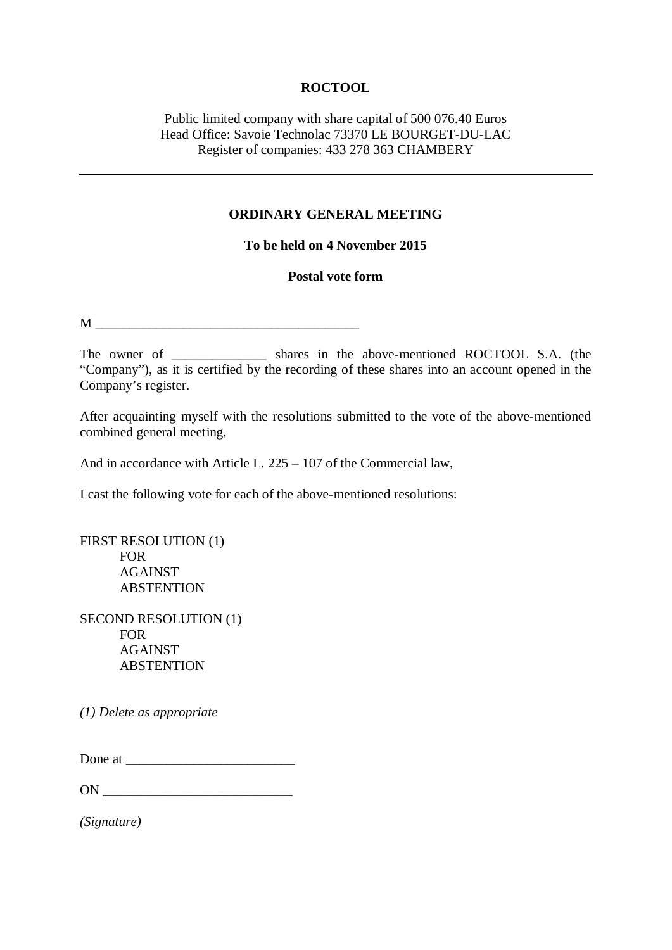## **ROCTOOL**

# Public limited company with share capital of 500 076.40 Euros Head Office: Savoie Technolac 73370 LE BOURGET-DU-LAC Register of companies: 433 278 363 CHAMBERY

#### **ORDINARY GENERAL MEETING**

## **To be held on 4 November 2015**

#### **Postal vote form**

 $M$ 

The owner of \_\_\_\_\_\_\_\_\_\_\_\_\_\_ shares in the above-mentioned ROCTOOL S.A. (the "Company"), as it is certified by the recording of these shares into an account opened in the Company's register.

After acquainting myself with the resolutions submitted to the vote of the above-mentioned combined general meeting,

And in accordance with Article L. 225 – 107 of the Commercial law,

I cast the following vote for each of the above-mentioned resolutions:

FIRST RESOLUTION (1) FOR AGAINST ABSTENTION

SECOND RESOLUTION (1) FOR AGAINST ABSTENTION

*(1) Delete as appropriate*

Done at  $\Box$ 

ON  $\blacksquare$ 

*(Signature)*